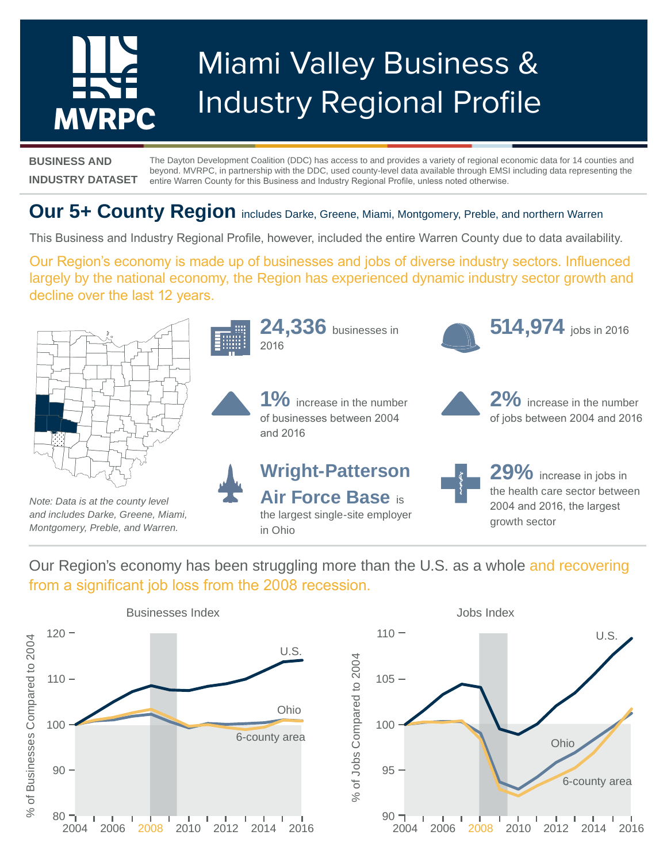# Miami Valley Business & Industry Regional Profile **MVRPC**

**BUSINESS AND INDUSTRY DATASET** The Dayton Development Coalition (DDC) has access to and provides a variety of regional economic data for 14 counties and beyond. MVRPC, in partnership with the DDC, used county-level data available through EMSI including data representing the entire Warren County for this Business and Industry Regional Profile, unless noted otherwise.

# **Our 5+ County Region** includes Darke, Greene, Miami, Montgomery, Preble, and northern Warren

This Business and Industry Regional Profile, however, included the entire Warren County due to data availability.

Our Region's economy is made up of businesses and jobs of diverse industry sectors. Influenced largely by the national economy, the Region has experienced dynamic industry sector growth and decline over the last 12 years.



Our Region's economy has been struggling more than the U.S. as a whole and recovering from a significant job loss from the 2008 recession.

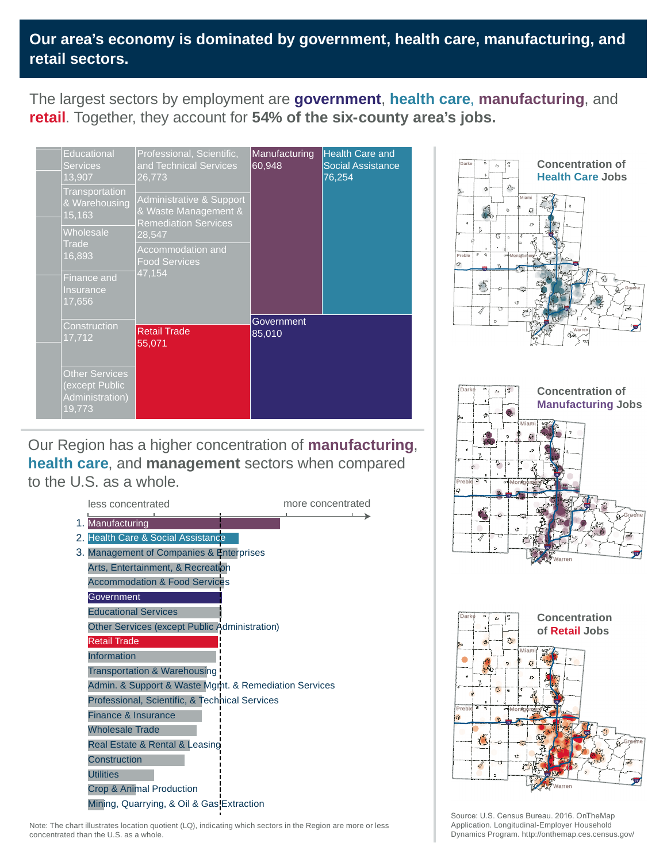# **Our area's economy is dominated by government, health care, manufacturing, and retail sectors.**

The largest sectors by employment are **government**, **health care**, **manufacturing**, and **retail**. Together, they account for **54% of the six-county area's jobs.**

| <b>Educational</b><br><b>Services</b><br>13,907<br>Transportation<br>& Warehousing<br>15,163<br>Wholesale<br>Trade | Professional, Scientific,<br>and Technical Services<br>26,773<br>Administrative & Support<br>& Waste Management &<br><b>Remediation Services</b><br>28,547 | Manufacturing<br>60,948 | <b>Health Care and</b><br><b>Social Assistance</b><br>76,254 |
|--------------------------------------------------------------------------------------------------------------------|------------------------------------------------------------------------------------------------------------------------------------------------------------|-------------------------|--------------------------------------------------------------|
| 16,893<br><b>Finance and</b><br>Insurance<br>17,656                                                                | Accommodation and<br><b>Food Services</b><br>47,154                                                                                                        |                         |                                                              |
| Construction<br>17,712<br><b>Other Services</b>                                                                    | <b>Retail Trade</b><br>55,071                                                                                                                              | Government<br>85,010    |                                                              |
| (except Public<br>Administration)<br>19,773                                                                        |                                                                                                                                                            |                         |                                                              |

Our Region has a higher concentration of **manufacturing**, **health care**, and **management** sectors when compared to the U.S. as a whole.











Source: U.S. Census Bureau. 2016. OnTheMap Application. Longitudinal-Employer Household Dynamics Program. http://onthemap.ces.census.gov/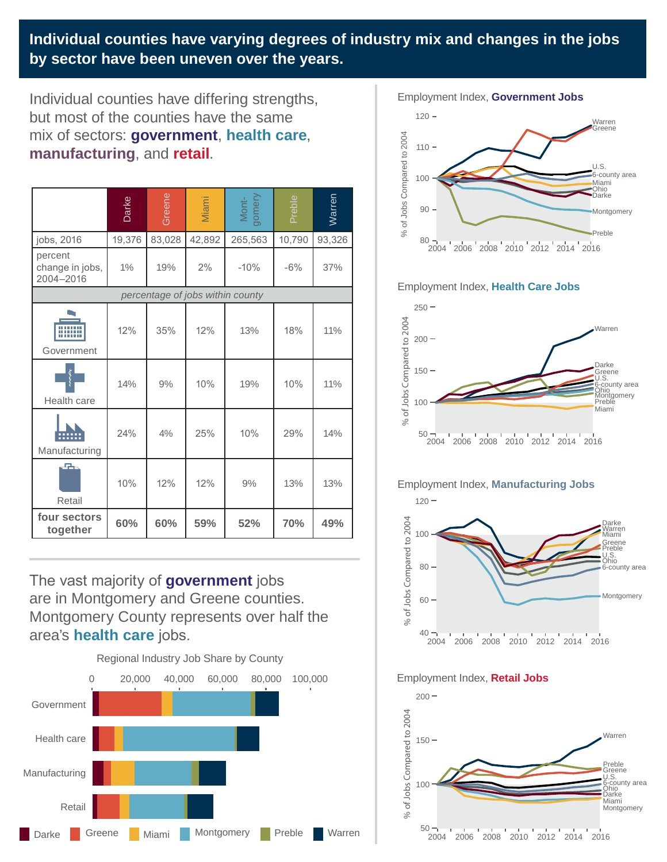**Individual counties have varying degrees of industry mix and changes in the jobs by sector have been uneven over the years.**

Individual counties have differing strengths, but most of the counties have the same mix of sectors: **government**, **health care**, **manufacturing**, and **retail**.

|                                         | Darke  | Greene | Miami  | Mont-<br>gomery | Preble     | Warren |  |  |  |
|-----------------------------------------|--------|--------|--------|-----------------|------------|--------|--|--|--|
| jobs, 2016                              | 19,376 | 83,028 | 42,892 | 265,563         | 10,790     | 93,326 |  |  |  |
| percent<br>change in jobs,<br>2004-2016 | 1%     | 19%    | 2%     | $-10%$          | $-6%$      | 37%    |  |  |  |
| percentage of jobs within county        |        |        |        |                 |            |        |  |  |  |
| Government                              | 12%    | 35%    | 12%    | 13%             | 18%        | 11%    |  |  |  |
| Health care                             | 14%    | 9%     | 10%    | 19%             | 10%        | 11%    |  |  |  |
| Manufacturing                           | 24%    | 4%     | 25%    | 10%             | 29%        | 14%    |  |  |  |
| 晶<br>Retail                             | 10%    | 12%    | 12%    | 9%              | 13%        | 13%    |  |  |  |
| four sectors<br>together                | 60%    | 60%    | 59%    | 52%             | <b>70%</b> | 49%    |  |  |  |

The vast majority of **government** jobs are in Montgomery and Greene counties. Montgomery County represents over half the area's **health care** jobs.





#### Employment Index, **Health Care Jobs**



### Employment Index, **Manufacturing Jobs**



#### Employment Index, **Retail Jobs**